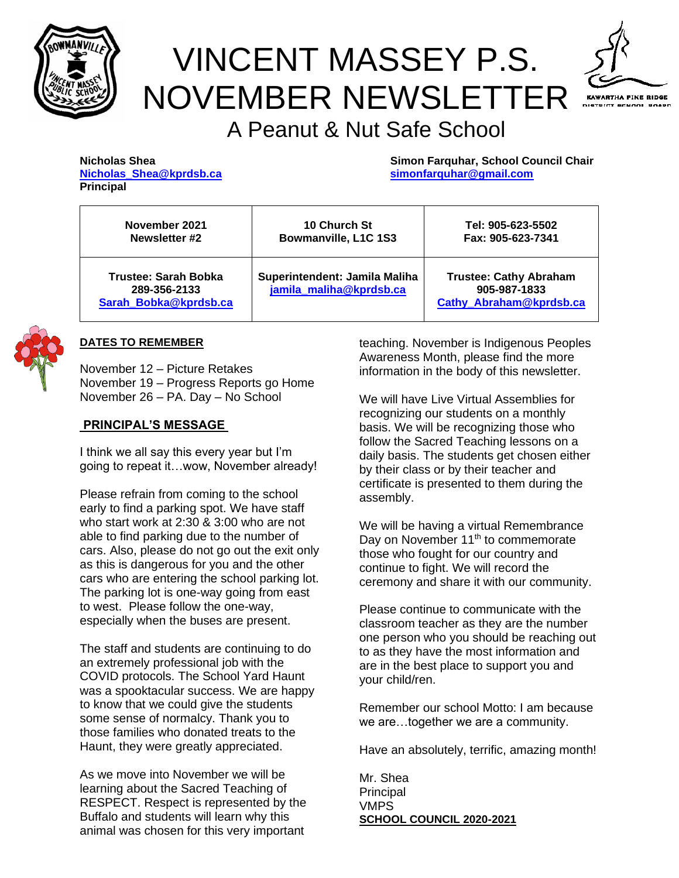

# VINCENT MASSEY P.S. NOVEMBER NEWSLETTER



# A Peanut & Nut Safe School

| Nicholas Shea    |                         |  |
|------------------|-------------------------|--|
|                  | Nicholas Shea@kprdsb.ca |  |
| <b>Principal</b> |                         |  |

**Simon Farquhar, School Council Chair [Nicholas\\_Shea@kprdsb.ca](mailto:Nicholas_Shea@kprdsb.ca) [simonfarquhar@gmail.com](mailto:simonfarquhar@gmail.com)**

| November 2021                                                 | 10 Church St                                             | Tel: 905-623-5502 |
|---------------------------------------------------------------|----------------------------------------------------------|-------------------|
| Newsletter #2                                                 | Bowmanville, L1C 1S3                                     | Fax: 905-623-7341 |
| Trustee: Sarah Bobka<br>289-356-2133<br>Sarah Bobka@kprdsb.ca | Superintendent: Jamila Maliha<br>jamila maliha@kprdsb.ca |                   |



#### **DATES TO REMEMBER**

November 12 – Picture Retakes November 19 – Progress Reports go Home November 26 – PA. Day – No School

## **PRINCIPAL'S MESSAGE**

I think we all say this every year but I'm going to repeat it…wow, November already!

Please refrain from coming to the school early to find a parking spot. We have staff who start work at 2:30 & 3:00 who are not able to find parking due to the number of cars. Also, please do not go out the exit only as this is dangerous for you and the other cars who are entering the school parking lot. The parking lot is one-way going from east to west. Please follow the one-way, especially when the buses are present.

The staff and students are continuing to do an extremely professional job with the COVID protocols. The School Yard Haunt was a spooktacular success. We are happy to know that we could give the students some sense of normalcy. Thank you to those families who donated treats to the Haunt, they were greatly appreciated.

As we move into November we will be learning about the Sacred Teaching of RESPECT. Respect is represented by the Buffalo and students will learn why this animal was chosen for this very important

teaching. November is Indigenous Peoples Awareness Month, please find the more information in the body of this newsletter.

We will have Live Virtual Assemblies for recognizing our students on a monthly basis. We will be recognizing those who follow the Sacred Teaching lessons on a daily basis. The students get chosen either by their class or by their teacher and certificate is presented to them during the assembly.

We will be having a virtual Remembrance Day on November 11<sup>th</sup> to commemorate those who fought for our country and continue to fight. We will record the ceremony and share it with our community.

Please continue to communicate with the classroom teacher as they are the number one person who you should be reaching out to as they have the most information and are in the best place to support you and your child/ren.

Remember our school Motto: I am because we are…together we are a community.

Have an absolutely, terrific, amazing month!

Mr. Shea Principal VMPS **SCHOOL COUNCIL 2020-2021**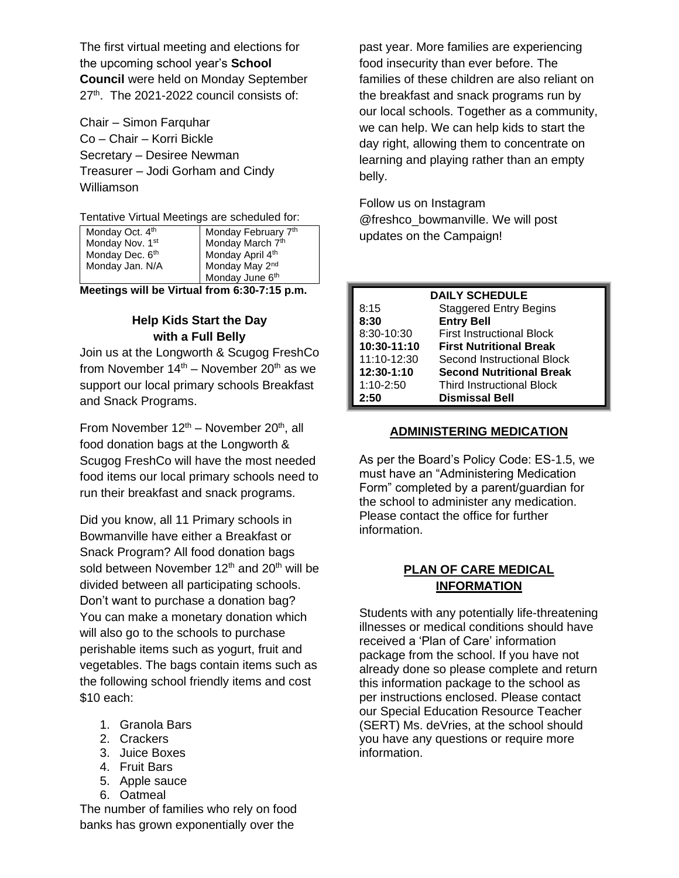The first virtual meeting and elections for the upcoming school year's **School Council** were held on Monday September 27<sup>th</sup>. The 2021-2022 council consists of:

Chair – Simon Farquhar Co – Chair – Korri Bickle Secretary – Desiree Newman Treasurer – Jodi Gorham and Cindy Williamson

Tentative Virtual Meetings are scheduled for:

| Monday Oct. 4 <sup>th</sup>                 | Monday February 7th        |  |
|---------------------------------------------|----------------------------|--|
| Monday Nov. 1 <sup>st</sup>                 | Monday March 7th           |  |
| Monday Dec. 6 <sup>th</sup>                 | Monday April 4th           |  |
| Monday Jan. N/A                             | Monday May 2 <sup>nd</sup> |  |
|                                             | Monday June 6th            |  |
| Mootings will be Virtual from 6:20 7:45 n m |                            |  |

**Meetings will be Virtual from 6:30-7:15 p.m.** 

# **Help Kids Start the Day with a Full Belly**

Join us at the Longworth & Scugog FreshCo from November  $14<sup>th</sup>$  – November  $20<sup>th</sup>$  as we support our local primary schools Breakfast and Snack Programs.

From November  $12<sup>th</sup>$  – November  $20<sup>th</sup>$ , all food donation bags at the Longworth & Scugog FreshCo will have the most needed food items our local primary schools need to run their breakfast and snack programs.

Did you know, all 11 Primary schools in Bowmanville have either a Breakfast or Snack Program? All food donation bags sold between November 12<sup>th</sup> and 20<sup>th</sup> will be divided between all participating schools. Don't want to purchase a donation bag? You can make a monetary donation which will also go to the schools to purchase perishable items such as yogurt, fruit and vegetables. The bags contain items such as the following school friendly items and cost \$10 each:

- 1. Granola Bars
- 2. Crackers
- 3. Juice Boxes
- 4. Fruit Bars
- 5. Apple sauce
- 6. Oatmeal

The number of families who rely on food banks has grown exponentially over the

past year. More families are experiencing food insecurity than ever before. The families of these children are also reliant on the breakfast and snack programs run by our local schools. Together as a community, we can help. We can help kids to start the day right, allowing them to concentrate on learning and playing rather than an empty belly.

Follow us on Instagram @freshco\_bowmanville. We will post updates on the Campaign!

| <b>DAILY SCHEDULE</b> |                                  |  |
|-----------------------|----------------------------------|--|
| 8:15                  | <b>Staggered Entry Begins</b>    |  |
| 8:30                  | <b>Entry Bell</b>                |  |
| 8:30-10:30            | <b>First Instructional Block</b> |  |
| 10:30-11:10           | <b>First Nutritional Break</b>   |  |
| 11:10-12:30           | Second Instructional Block       |  |
| 12:30-1:10            | <b>Second Nutritional Break</b>  |  |
| $1:10 - 2:50$         | <b>Third Instructional Block</b> |  |
| 2:50                  | <b>Dismissal Bell</b>            |  |

## **ADMINISTERING MEDICATION**

As per the Board's Policy Code: ES-1.5, we must have an "Administering Medication Form" completed by a parent/guardian for the school to administer any medication. Please contact the office for further information.

# **PLAN OF CARE MEDICAL INFORMATION**

Students with any potentially life-threatening illnesses or medical conditions should have received a 'Plan of Care' information package from the school. If you have not already done so please complete and return this information package to the school as per instructions enclosed. Please contact our Special Education Resource Teacher (SERT) Ms. deVries, at the school should you have any questions or require more information.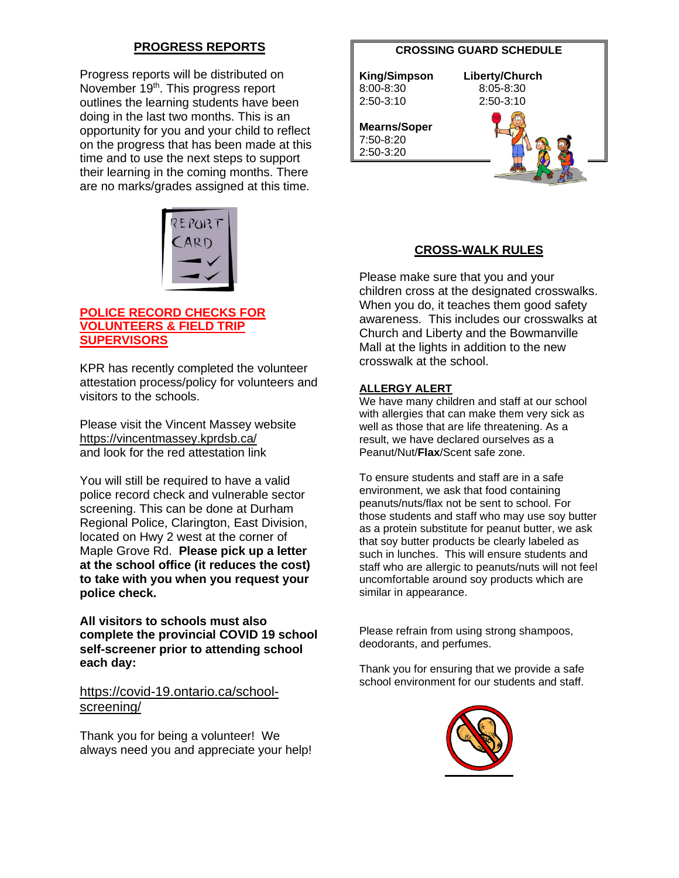# **PROGRESS REPORTS**

Progress reports will be distributed on November 19<sup>th</sup>. This progress report outlines the learning students have been doing in the last two months. This is an opportunity for you and your child to reflect on the progress that has been made at this time and to use the next steps to support their learning in the coming months. There are no marks/grades assigned at this time.



#### **POLICE RECORD CHECKS FOR VOLUNTEERS & FIELD TRIP SUPERVISORS**

KPR has recently completed the volunteer attestation process/policy for volunteers and visitors to the schools.

Please visit the Vincent Massey website <https://vincentmassey.kprdsb.ca/> and look for the red attestation link

You will still be required to have a valid police record check and vulnerable sector screening. This can be done at Durham Regional Police, Clarington, East Division, located on Hwy 2 west at the corner of Maple Grove Rd. **Please pick up a letter at the school office (it reduces the cost) to take with you when you request your police check.**

**All visitors to schools must also complete the provincial COVID 19 school self-screener prior to attending school each day:**

[https://covid-19.ontario.ca/school](https://can01.safelinks.protection.outlook.com/?url=https%3A%2F%2Fcovid-19.ontario.ca%2Fschool-screening%2F&data=04%7C01%7C%7C175789be08494ea8738608d984397476%7C2b94e694f4c94cc09af4294713f6f565%7C0%7C0%7C637686204567781270%7CUnknown%7CTWFpbGZsb3d8eyJWIjoiMC4wLjAwMDAiLCJQIjoiV2luMzIiLCJBTiI6Ik1haWwiLCJXVCI6Mn0%3D%7C1000&sdata=8JCSjWWm9Hf757b65tp6DUuPLwmEnCuDxpLGD%2FqlccE%3D&reserved=0)[screening/](https://can01.safelinks.protection.outlook.com/?url=https%3A%2F%2Fcovid-19.ontario.ca%2Fschool-screening%2F&data=04%7C01%7C%7C175789be08494ea8738608d984397476%7C2b94e694f4c94cc09af4294713f6f565%7C0%7C0%7C637686204567781270%7CUnknown%7CTWFpbGZsb3d8eyJWIjoiMC4wLjAwMDAiLCJQIjoiV2luMzIiLCJBTiI6Ik1haWwiLCJXVCI6Mn0%3D%7C1000&sdata=8JCSjWWm9Hf757b65tp6DUuPLwmEnCuDxpLGD%2FqlccE%3D&reserved=0)

Thank you for being a volunteer! We always need you and appreciate your help!

#### **CROSSING GUARD SCHEDULE**

**King/Simpson Liberty/Church** 8:00-8:30 8:05-8:30 2:50-3:10 2:50-3:10

**Mearns/Soper** 7:50-8:20 2:50-3:20



# **CROSS-WALK RULES**

Please make sure that you and your children cross at the designated crosswalks. When you do, it teaches them good safety awareness. This includes our crosswalks at Church and Liberty and the Bowmanville Mall at the lights in addition to the new crosswalk at the school.

#### **ALLERGY ALERT**

We have many children and staff at our school with allergies that can make them very sick as well as those that are life threatening. As a result, we have declared ourselves as a Peanut/Nut/**Flax**/Scent safe zone.

To ensure students and staff are in a safe environment, we ask that food containing peanuts/nuts/flax not be sent to school. For those students and staff who may use soy butter as a protein substitute for peanut butter, we ask that soy butter products be clearly labeled as such in lunches. This will ensure students and staff who are allergic to peanuts/nuts will not feel uncomfortable around soy products which are similar in appearance.

Please refrain from using strong shampoos, deodorants, and perfumes.

Thank you for ensuring that we provide a safe school environment for our students and staff.